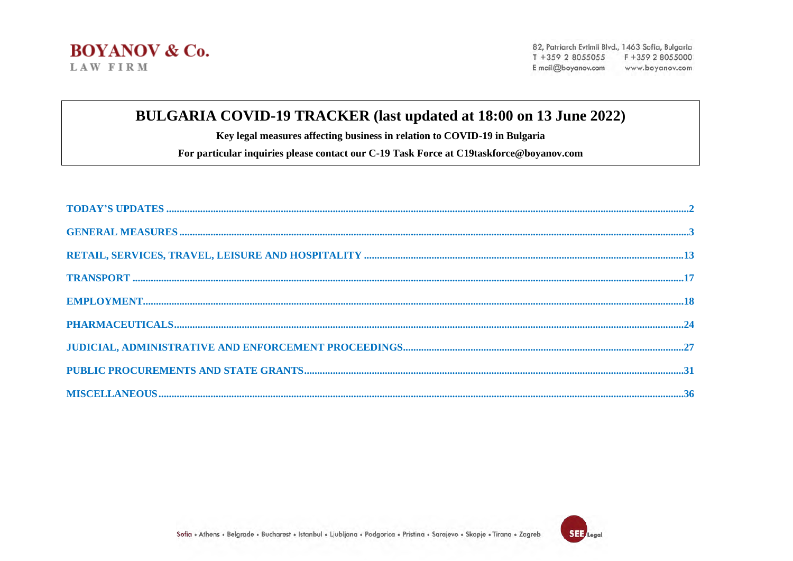#### BULGARIA COVID-19 TRACKER (last updated at 18:00 on 13 June 2022)

Key legal measures affecting business in relation to COVID-19 in Bulgaria

For particular inquiries please contact our C-19 Task Force at C19taskforce@boyanov.com

| $\textbf{EMPLOYMENT}.\textcolor{red}{}}{}$ |  |
|--------------------------------------------|--|
|                                            |  |
|                                            |  |
|                                            |  |
|                                            |  |

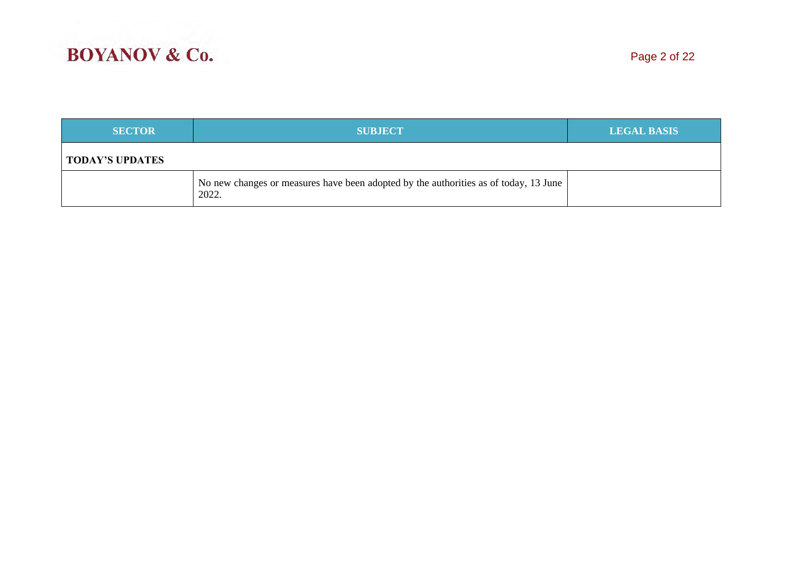| <b>SECTOR</b>          | <b>SUBJECT</b>                                                                                | <b>LEGAL BASIS</b> |
|------------------------|-----------------------------------------------------------------------------------------------|--------------------|
| <b>TODAY'S UPDATES</b> |                                                                                               |                    |
|                        | No new changes or measures have been adopted by the authorities as of today, 13 June<br>2022. |                    |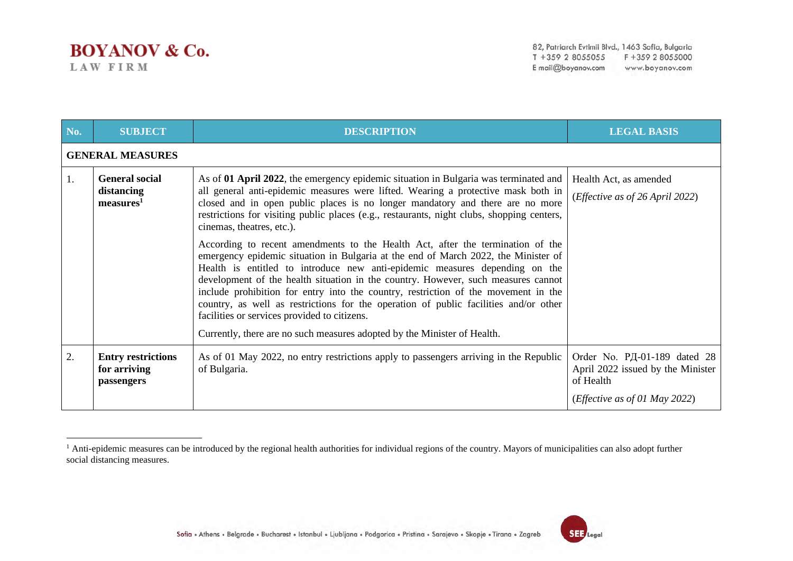| No. | <b>SUBJECT</b>                                               | <b>DESCRIPTION</b>                                                                                                                                                                                                                                                                                                                                                                                                                                                                                                                                                                                                                                                                                                                                                                                                                                                                                                                                                                                                                          | <b>LEGAL BASIS</b>                                                                                                       |
|-----|--------------------------------------------------------------|---------------------------------------------------------------------------------------------------------------------------------------------------------------------------------------------------------------------------------------------------------------------------------------------------------------------------------------------------------------------------------------------------------------------------------------------------------------------------------------------------------------------------------------------------------------------------------------------------------------------------------------------------------------------------------------------------------------------------------------------------------------------------------------------------------------------------------------------------------------------------------------------------------------------------------------------------------------------------------------------------------------------------------------------|--------------------------------------------------------------------------------------------------------------------------|
|     | <b>GENERAL MEASURES</b>                                      |                                                                                                                                                                                                                                                                                                                                                                                                                                                                                                                                                                                                                                                                                                                                                                                                                                                                                                                                                                                                                                             |                                                                                                                          |
| 1.  | <b>General social</b><br>distancing<br>measures <sup>1</sup> | As of 01 April 2022, the emergency epidemic situation in Bulgaria was terminated and<br>all general anti-epidemic measures were lifted. Wearing a protective mask both in<br>closed and in open public places is no longer mandatory and there are no more<br>restrictions for visiting public places (e.g., restaurants, night clubs, shopping centers,<br>cinemas, theatres, etc.).<br>According to recent amendments to the Health Act, after the termination of the<br>emergency epidemic situation in Bulgaria at the end of March 2022, the Minister of<br>Health is entitled to introduce new anti-epidemic measures depending on the<br>development of the health situation in the country. However, such measures cannot<br>include prohibition for entry into the country, restriction of the movement in the<br>country, as well as restrictions for the operation of public facilities and/or other<br>facilities or services provided to citizens.<br>Currently, there are no such measures adopted by the Minister of Health. | Health Act, as amended<br>( <i>Effective as of 26 April 2022</i> )                                                       |
| 2.  | <b>Entry restrictions</b><br>for arriving<br>passengers      | As of 01 May 2022, no entry restrictions apply to passengers arriving in the Republic<br>of Bulgaria.                                                                                                                                                                                                                                                                                                                                                                                                                                                                                                                                                                                                                                                                                                                                                                                                                                                                                                                                       | Order No. PД-01-189 dated 28<br>April 2022 issued by the Minister<br>of Health<br>( <i>Effective as of 01 May 2022</i> ) |



<sup>&</sup>lt;sup>1</sup> Anti-epidemic measures can be introduced by the regional health authorities for individual regions of the country. Mayors of municipalities can also adopt further social distancing measures.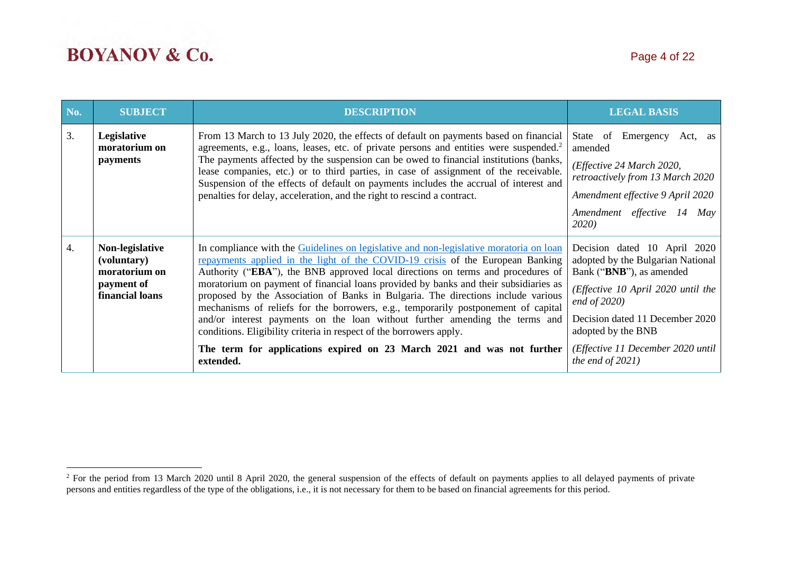| No. | <b>SUBJECT</b>                                                                   | <b>DESCRIPTION</b>                                                                                                                                                                                                                                                                                                                                                                                                                                                                                                                                                                                                                                                                                                                                                         | <b>LEGAL BASIS</b>                                                                                                                                                                                                                                                          |
|-----|----------------------------------------------------------------------------------|----------------------------------------------------------------------------------------------------------------------------------------------------------------------------------------------------------------------------------------------------------------------------------------------------------------------------------------------------------------------------------------------------------------------------------------------------------------------------------------------------------------------------------------------------------------------------------------------------------------------------------------------------------------------------------------------------------------------------------------------------------------------------|-----------------------------------------------------------------------------------------------------------------------------------------------------------------------------------------------------------------------------------------------------------------------------|
| 3.  | Legislative<br>moratorium on<br>payments                                         | From 13 March to 13 July 2020, the effects of default on payments based on financial<br>agreements, e.g., loans, leases, etc. of private persons and entities were suspended. <sup>2</sup><br>The payments affected by the suspension can be owed to financial institutions (banks,<br>lease companies, etc.) or to third parties, in case of assignment of the receivable.<br>Suspension of the effects of default on payments includes the accrual of interest and<br>penalties for delay, acceleration, and the right to rescind a contract.                                                                                                                                                                                                                            | Emergency<br>State of<br>Act, as<br>amended<br>(Effective 24 March 2020,<br>retroactively from 13 March 2020<br>Amendment effective 9 April 2020<br>Amendment effective 14 May<br><i>2020</i>                                                                               |
| 4.  | Non-legislative<br>(voluntary)<br>moratorium on<br>payment of<br>financial loans | In compliance with the Guidelines on legislative and non-legislative moratoria on loan<br>repayments applied in the light of the COVID-19 crisis of the European Banking<br>Authority ("EBA"), the BNB approved local directions on terms and procedures of<br>moratorium on payment of financial loans provided by banks and their subsidiaries as<br>proposed by the Association of Banks in Bulgaria. The directions include various<br>mechanisms of reliefs for the borrowers, e.g., temporarily postponement of capital<br>and/or interest payments on the loan without further amending the terms and<br>conditions. Eligibility criteria in respect of the borrowers apply.<br>The term for applications expired on 23 March 2021 and was not further<br>extended. | Decision dated 10 April 2020<br>adopted by the Bulgarian National<br>Bank ("BNB"), as amended<br>(Effective 10 April 2020 until the<br>end of $2020$ )<br>Decision dated 11 December 2020<br>adopted by the BNB<br>(Effective 11 December 2020 until<br>the end of $2021$ ) |

<sup>&</sup>lt;sup>2</sup> For the period from 13 March 2020 until 8 April 2020, the general suspension of the effects of default on payments applies to all delayed payments of private persons and entities regardless of the type of the obligations, i.e., it is not necessary for them to be based on financial agreements for this period.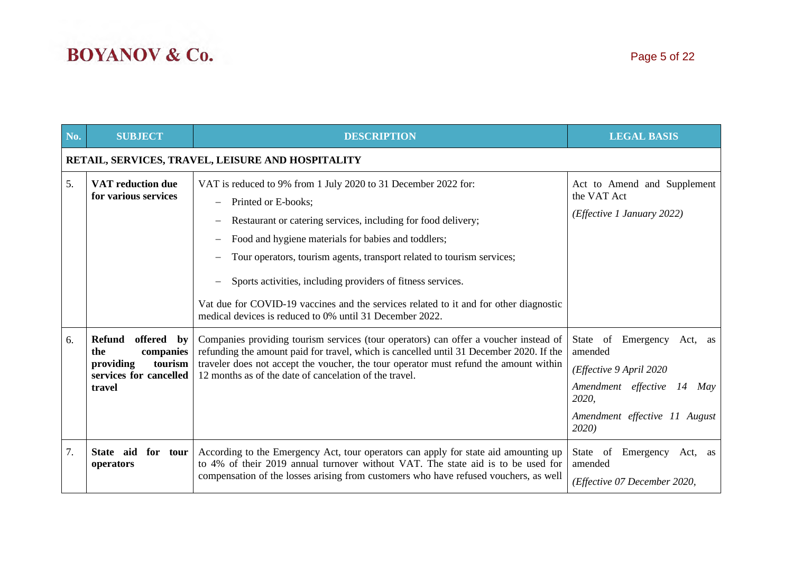| No. | <b>SUBJECT</b>                                                                                       | <b>DESCRIPTION</b>                                                                                                                                                                                                                                                                                                                                                                                                                                                                                          | <b>LEGAL BASIS</b>                                                                                                                                   |  |  |
|-----|------------------------------------------------------------------------------------------------------|-------------------------------------------------------------------------------------------------------------------------------------------------------------------------------------------------------------------------------------------------------------------------------------------------------------------------------------------------------------------------------------------------------------------------------------------------------------------------------------------------------------|------------------------------------------------------------------------------------------------------------------------------------------------------|--|--|
|     | RETAIL, SERVICES, TRAVEL, LEISURE AND HOSPITALITY                                                    |                                                                                                                                                                                                                                                                                                                                                                                                                                                                                                             |                                                                                                                                                      |  |  |
| 5.  | <b>VAT</b> reduction due<br>for various services                                                     | VAT is reduced to 9% from 1 July 2020 to 31 December 2022 for:<br>Printed or E-books;<br>Restaurant or catering services, including for food delivery;<br>Food and hygiene materials for babies and toddlers;<br>Tour operators, tourism agents, transport related to tourism services;<br>Sports activities, including providers of fitness services.<br>Vat due for COVID-19 vaccines and the services related to it and for other diagnostic<br>medical devices is reduced to 0% until 31 December 2022. | Act to Amend and Supplement<br>the VAT Act<br>(Effective 1 January 2022)                                                                             |  |  |
| 6.  | offered by<br>Refund<br>companies<br>the<br>providing<br>tourism<br>services for cancelled<br>travel | Companies providing tourism services (tour operators) can offer a voucher instead of<br>refunding the amount paid for travel, which is cancelled until 31 December 2020. If the<br>traveler does not accept the voucher, the tour operator must refund the amount within<br>12 months as of the date of cancelation of the travel.                                                                                                                                                                          | State of Emergency Act, as<br>amended<br>(Effective 9 April 2020<br>Amendment effective 14<br>May<br>2020,<br>Amendment effective 11 August<br>2020) |  |  |
| 7.  | State aid<br>for tour<br>operators                                                                   | According to the Emergency Act, tour operators can apply for state aid amounting up<br>to 4% of their 2019 annual turnover without VAT. The state aid is to be used for<br>compensation of the losses arising from customers who have refused vouchers, as well                                                                                                                                                                                                                                             | Emergency Act, as<br>State of<br>amended<br>(Effective 07 December 2020,                                                                             |  |  |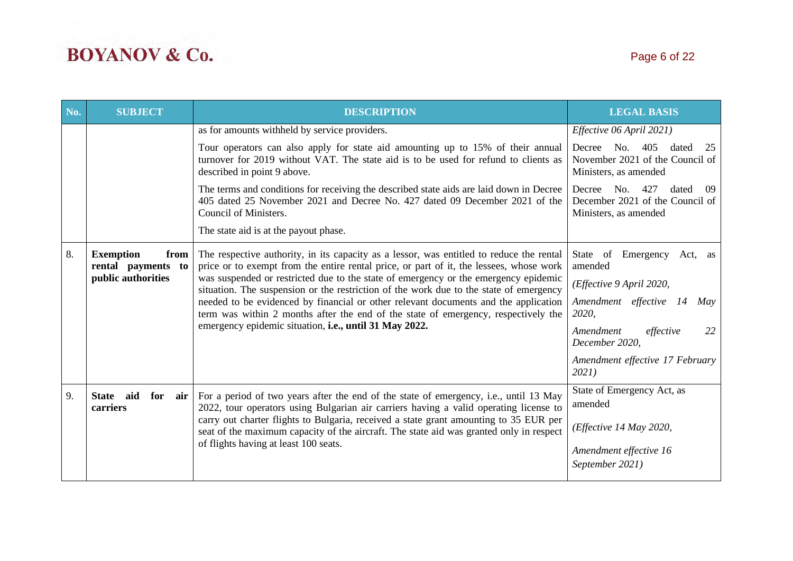| No. | <b>SUBJECT</b>                                                                                                                                                                                                                    | <b>DESCRIPTION</b>                                                                                                                                                                                                        | <b>LEGAL BASIS</b>                                                                            |
|-----|-----------------------------------------------------------------------------------------------------------------------------------------------------------------------------------------------------------------------------------|---------------------------------------------------------------------------------------------------------------------------------------------------------------------------------------------------------------------------|-----------------------------------------------------------------------------------------------|
|     |                                                                                                                                                                                                                                   | as for amounts withheld by service providers.                                                                                                                                                                             | Effective 06 April 2021)                                                                      |
|     |                                                                                                                                                                                                                                   | Tour operators can also apply for state aid amounting up to 15% of their annual<br>turnover for 2019 without VAT. The state aid is to be used for refund to clients as<br>described in point 9 above.                     | Decree No. 405<br>dated<br>25<br>November 2021 of the Council of<br>Ministers, as amended     |
|     |                                                                                                                                                                                                                                   | The terms and conditions for receiving the described state aids are laid down in Decree<br>405 dated 25 November 2021 and Decree No. 427 dated 09 December 2021 of the<br>Council of Ministers.                           | No. 427<br>Decree<br>dated<br>-09<br>December 2021 of the Council of<br>Ministers, as amended |
|     |                                                                                                                                                                                                                                   | The state aid is at the payout phase.                                                                                                                                                                                     |                                                                                               |
| 8.  | <b>Exemption</b><br>from<br>rental payments to                                                                                                                                                                                    | The respective authority, in its capacity as a lessor, was entitled to reduce the rental<br>price or to exempt from the entire rental price, or part of it, the lessees, whose work                                       | State of Emergency<br>Act, as<br>amended                                                      |
|     | public authorities                                                                                                                                                                                                                | was suspended or restricted due to the state of emergency or the emergency epidemic<br>situation. The suspension or the restriction of the work due to the state of emergency                                             | (Effective 9 April 2020,                                                                      |
|     |                                                                                                                                                                                                                                   | needed to be evidenced by financial or other relevant documents and the application<br>term was within 2 months after the end of the state of emergency, respectively the                                                 | Amendment effective 14<br>May<br>2020,                                                        |
|     |                                                                                                                                                                                                                                   | emergency epidemic situation, i.e., until 31 May 2022.                                                                                                                                                                    | Amendment<br>effective<br>22<br>December 2020,                                                |
|     |                                                                                                                                                                                                                                   |                                                                                                                                                                                                                           | Amendment effective 17 February<br>2021)                                                      |
| 9.  | aid<br>For a period of two years after the end of the state of emergency, i.e., until 13 May<br>for<br><b>State</b><br>air  <br>2022, tour operators using Bulgarian air carriers having a valid operating license to<br>carriers | State of Emergency Act, as<br>amended                                                                                                                                                                                     |                                                                                               |
|     |                                                                                                                                                                                                                                   | carry out charter flights to Bulgaria, received a state grant amounting to 35 EUR per<br>seat of the maximum capacity of the aircraft. The state aid was granted only in respect<br>of flights having at least 100 seats. | (Effective 14 May 2020,                                                                       |
|     |                                                                                                                                                                                                                                   |                                                                                                                                                                                                                           | Amendment effective 16                                                                        |
|     |                                                                                                                                                                                                                                   |                                                                                                                                                                                                                           | September 2021)                                                                               |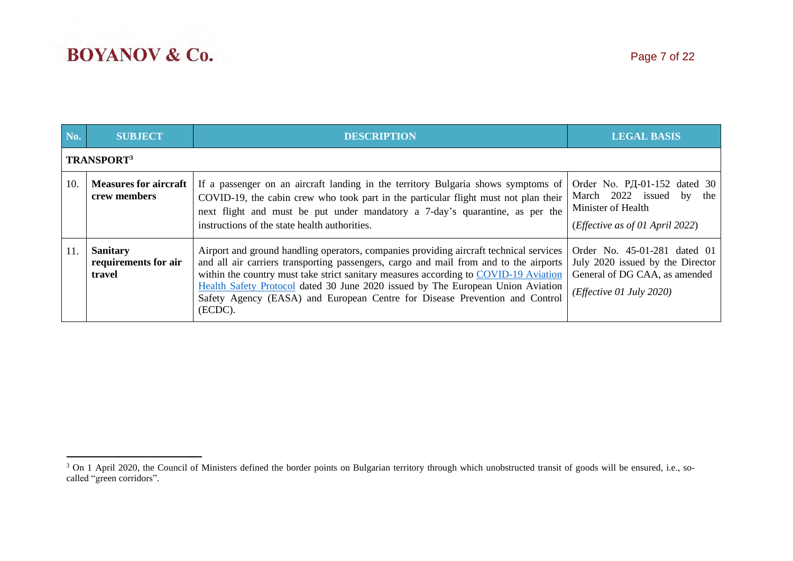| No. | <b>SUBJECT</b>                                    | <b>DESCRIPTION</b>                                                                                                                                                                                                                                                                                                                                                                                                                                   | <b>LEGAL BASIS</b>                                                                                                                     |
|-----|---------------------------------------------------|------------------------------------------------------------------------------------------------------------------------------------------------------------------------------------------------------------------------------------------------------------------------------------------------------------------------------------------------------------------------------------------------------------------------------------------------------|----------------------------------------------------------------------------------------------------------------------------------------|
|     | <b>TRANSPORT3</b>                                 |                                                                                                                                                                                                                                                                                                                                                                                                                                                      |                                                                                                                                        |
| 10. | <b>Measures for aircraft</b><br>crew members      | If a passenger on an aircraft landing in the territory Bulgaria shows symptoms of<br>COVID-19, the cabin crew who took part in the particular flight must not plan their<br>next flight and must be put under mandatory a 7-day's quarantine, as per the<br>instructions of the state health authorities.                                                                                                                                            | Order No. PД-01-152 dated 30<br>March 2022 issued<br>the<br>by<br>Minister of Health<br>( <i>Effective as of 01 April 2022</i> )       |
| 11. | <b>Sanitary</b><br>requirements for air<br>travel | Airport and ground handling operators, companies providing aircraft technical services<br>and all air carriers transporting passengers, cargo and mail from and to the airports<br>within the country must take strict sanitary measures according to COVID-19 Aviation<br>Health Safety Protocol dated 30 June 2020 issued by The European Union Aviation<br>Safety Agency (EASA) and European Centre for Disease Prevention and Control<br>(ECDC). | Order No. 45-01-281 dated 01<br>July 2020 issued by the Director<br>General of DG CAA, as amended<br>( <i>Effective 01 July 2020</i> ) |

<sup>&</sup>lt;sup>3</sup> On 1 April 2020, the Council of Ministers defined the border points on Bulgarian territory through which unobstructed transit of goods will be ensured, i.e., socalled "green corridors".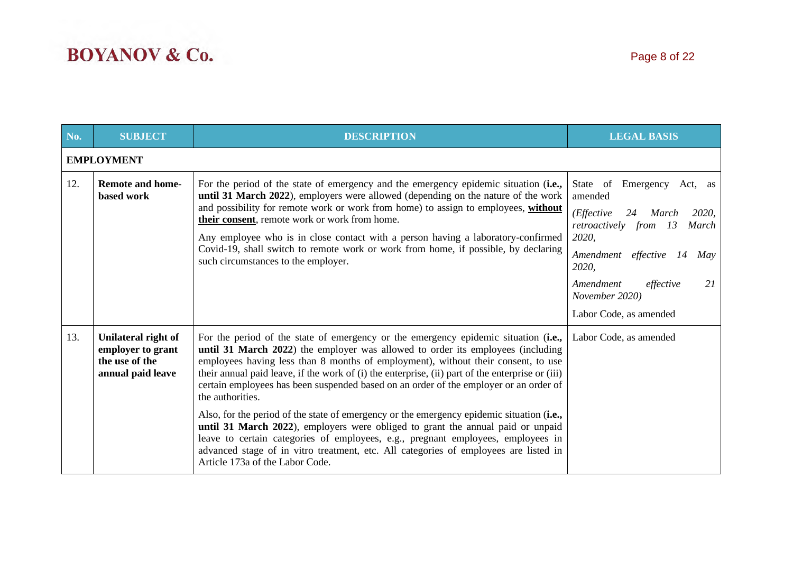| No. | <b>SUBJECT</b>                                                                  | <b>DESCRIPTION</b>                                                                                                                                                                                                                                                                                                                                                                                                                                                                                                                                                                                                                                                                                                                                                                                                                                                          | <b>LEGAL BASIS</b>                                                                                                                                                                                                                                         |  |  |
|-----|---------------------------------------------------------------------------------|-----------------------------------------------------------------------------------------------------------------------------------------------------------------------------------------------------------------------------------------------------------------------------------------------------------------------------------------------------------------------------------------------------------------------------------------------------------------------------------------------------------------------------------------------------------------------------------------------------------------------------------------------------------------------------------------------------------------------------------------------------------------------------------------------------------------------------------------------------------------------------|------------------------------------------------------------------------------------------------------------------------------------------------------------------------------------------------------------------------------------------------------------|--|--|
|     | <b>EMPLOYMENT</b>                                                               |                                                                                                                                                                                                                                                                                                                                                                                                                                                                                                                                                                                                                                                                                                                                                                                                                                                                             |                                                                                                                                                                                                                                                            |  |  |
| 12. | <b>Remote and home-</b><br>based work                                           | For the period of the state of emergency and the emergency epidemic situation (i.e.,<br>until 31 March 2022), employers were allowed (depending on the nature of the work<br>and possibility for remote work or work from home) to assign to employees, without<br>their consent, remote work or work from home.<br>Any employee who is in close contact with a person having a laboratory-confirmed<br>Covid-19, shall switch to remote work or work from home, if possible, by declaring<br>such circumstances to the employer.                                                                                                                                                                                                                                                                                                                                           | State of<br>Emergency<br>Act, as<br>amended<br>(Effective<br>24<br>March<br><i>2020</i> ,<br>retroactively from 13<br>March<br>2020,<br>Amendment effective 14<br>May<br>2020,<br>21<br>Amendment<br>effective<br>November 2020)<br>Labor Code, as amended |  |  |
| 13. | Unilateral right of<br>employer to grant<br>the use of the<br>annual paid leave | For the period of the state of emergency or the emergency epidemic situation (i.e.,<br>until 31 March 2022) the employer was allowed to order its employees (including<br>employees having less than 8 months of employment), without their consent, to use<br>their annual paid leave, if the work of (i) the enterprise, (ii) part of the enterprise or (iii)<br>certain employees has been suspended based on an order of the employer or an order of<br>the authorities.<br>Also, for the period of the state of emergency or the emergency epidemic situation (i.e.,<br>until 31 March 2022), employers were obliged to grant the annual paid or unpaid<br>leave to certain categories of employees, e.g., pregnant employees, employees in<br>advanced stage of in vitro treatment, etc. All categories of employees are listed in<br>Article 173a of the Labor Code. | Labor Code, as amended                                                                                                                                                                                                                                     |  |  |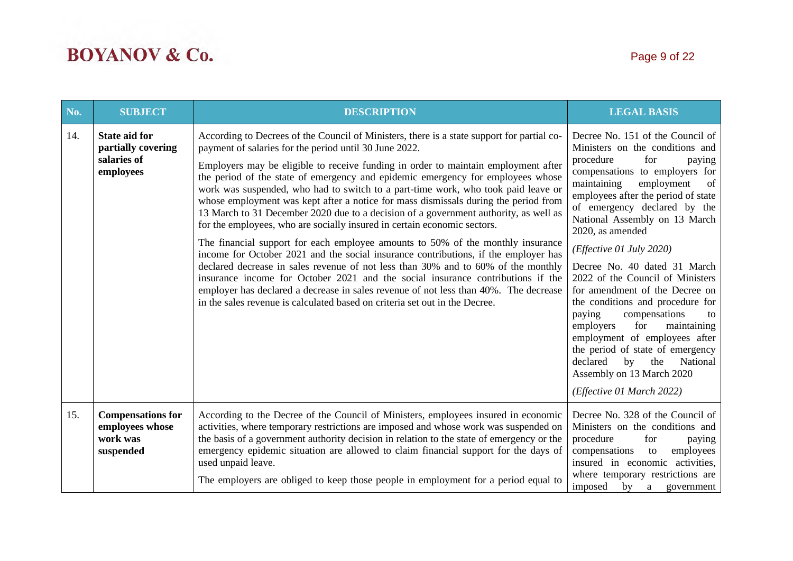| No. | <b>SUBJECT</b>                                                         | <b>DESCRIPTION</b>                                                                                                                                                                                                                                                                                                                                                                                                                                                                                                                                                                                                                                                                                                                                                                                                                                                                                                                                                                                                                                                                                                                                                                                     | <b>LEGAL BASIS</b>                                                                                                                                                                                                                                                                                                                                                                                                                                                                                                                                                                                                                                                                                               |
|-----|------------------------------------------------------------------------|--------------------------------------------------------------------------------------------------------------------------------------------------------------------------------------------------------------------------------------------------------------------------------------------------------------------------------------------------------------------------------------------------------------------------------------------------------------------------------------------------------------------------------------------------------------------------------------------------------------------------------------------------------------------------------------------------------------------------------------------------------------------------------------------------------------------------------------------------------------------------------------------------------------------------------------------------------------------------------------------------------------------------------------------------------------------------------------------------------------------------------------------------------------------------------------------------------|------------------------------------------------------------------------------------------------------------------------------------------------------------------------------------------------------------------------------------------------------------------------------------------------------------------------------------------------------------------------------------------------------------------------------------------------------------------------------------------------------------------------------------------------------------------------------------------------------------------------------------------------------------------------------------------------------------------|
| 14. | <b>State aid for</b><br>partially covering<br>salaries of<br>employees | According to Decrees of the Council of Ministers, there is a state support for partial co-<br>payment of salaries for the period until 30 June 2022.<br>Employers may be eligible to receive funding in order to maintain employment after<br>the period of the state of emergency and epidemic emergency for employees whose<br>work was suspended, who had to switch to a part-time work, who took paid leave or<br>whose employment was kept after a notice for mass dismissals during the period from<br>13 March to 31 December 2020 due to a decision of a government authority, as well as<br>for the employees, who are socially insured in certain economic sectors.<br>The financial support for each employee amounts to 50% of the monthly insurance<br>income for October 2021 and the social insurance contributions, if the employer has<br>declared decrease in sales revenue of not less than 30% and to 60% of the monthly<br>insurance income for October 2021 and the social insurance contributions if the<br>employer has declared a decrease in sales revenue of not less than 40%. The decrease<br>in the sales revenue is calculated based on criteria set out in the Decree. | Decree No. 151 of the Council of<br>Ministers on the conditions and<br>for<br>procedure<br>paying<br>compensations to employers for<br>maintaining<br>of<br>employment<br>employees after the period of state<br>of emergency declared by the<br>National Assembly on 13 March<br>2020, as amended<br>(Effective 01 July 2020)<br>Decree No. 40 dated 31 March<br>2022 of the Council of Ministers<br>for amendment of the Decree on<br>the conditions and procedure for<br>paying<br>compensations<br>to<br>for<br>employers<br>maintaining<br>employment of employees after<br>the period of state of emergency<br>by<br>declared<br>the<br>National<br>Assembly on 13 March 2020<br>(Effective 01 March 2022) |
| 15. | <b>Compensations for</b><br>employees whose<br>work was<br>suspended   | According to the Decree of the Council of Ministers, employees insured in economic<br>activities, where temporary restrictions are imposed and whose work was suspended on<br>the basis of a government authority decision in relation to the state of emergency or the<br>emergency epidemic situation are allowed to claim financial support for the days of<br>used unpaid leave.<br>The employers are obliged to keep those people in employment for a period equal to                                                                                                                                                                                                                                                                                                                                                                                                                                                                                                                                                                                                                                                                                                                             | Decree No. 328 of the Council of<br>Ministers on the conditions and<br>procedure<br>for<br>paying<br>compensations<br>employees<br>to<br>insured in economic activities,<br>where temporary restrictions are<br>imposed<br>by a<br>government                                                                                                                                                                                                                                                                                                                                                                                                                                                                    |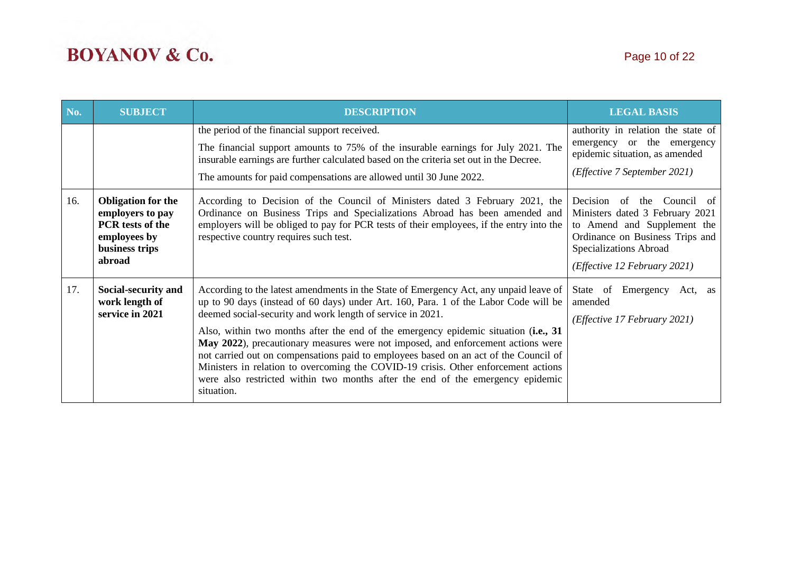| No. | <b>SUBJECT</b>                                                                                                       | <b>DESCRIPTION</b>                                                                                                                                                                                                                                                                                                                                                                                                                                                                                                                                                                                                                                                                                   | <b>LEGAL BASIS</b>                                                                                                                                                                           |
|-----|----------------------------------------------------------------------------------------------------------------------|------------------------------------------------------------------------------------------------------------------------------------------------------------------------------------------------------------------------------------------------------------------------------------------------------------------------------------------------------------------------------------------------------------------------------------------------------------------------------------------------------------------------------------------------------------------------------------------------------------------------------------------------------------------------------------------------------|----------------------------------------------------------------------------------------------------------------------------------------------------------------------------------------------|
|     |                                                                                                                      | the period of the financial support received.<br>The financial support amounts to 75% of the insurable earnings for July 2021. The<br>insurable earnings are further calculated based on the criteria set out in the Decree.<br>The amounts for paid compensations are allowed until 30 June 2022.                                                                                                                                                                                                                                                                                                                                                                                                   | authority in relation the state of<br>emergency or the emergency<br>epidemic situation, as amended<br>( <i>Effective</i> 7 September 2021)                                                   |
| 16. | <b>Obligation for the</b><br>employers to pay<br><b>PCR</b> tests of the<br>employees by<br>business trips<br>abroad | According to Decision of the Council of Ministers dated 3 February 2021, the<br>Ordinance on Business Trips and Specializations Abroad has been amended and<br>employers will be obliged to pay for PCR tests of their employees, if the entry into the<br>respective country requires such test.                                                                                                                                                                                                                                                                                                                                                                                                    | Decision<br>of the Council of<br>Ministers dated 3 February 2021<br>to Amend and Supplement the<br>Ordinance on Business Trips and<br>Specializations Abroad<br>(Effective 12 February 2021) |
| 17. | Social-security and<br>work length of<br>service in 2021                                                             | According to the latest amendments in the State of Emergency Act, any unpaid leave of<br>up to 90 days (instead of 60 days) under Art. 160, Para. 1 of the Labor Code will be<br>deemed social-security and work length of service in 2021.<br>Also, within two months after the end of the emergency epidemic situation (i.e., 31<br>May 2022), precautionary measures were not imposed, and enforcement actions were<br>not carried out on compensations paid to employees based on an act of the Council of<br>Ministers in relation to overcoming the COVID-19 crisis. Other enforcement actions<br>were also restricted within two months after the end of the emergency epidemic<br>situation. | State of<br>Emergency<br>Act, as<br>amended<br>( <i>Effective 17 February 2021</i> )                                                                                                         |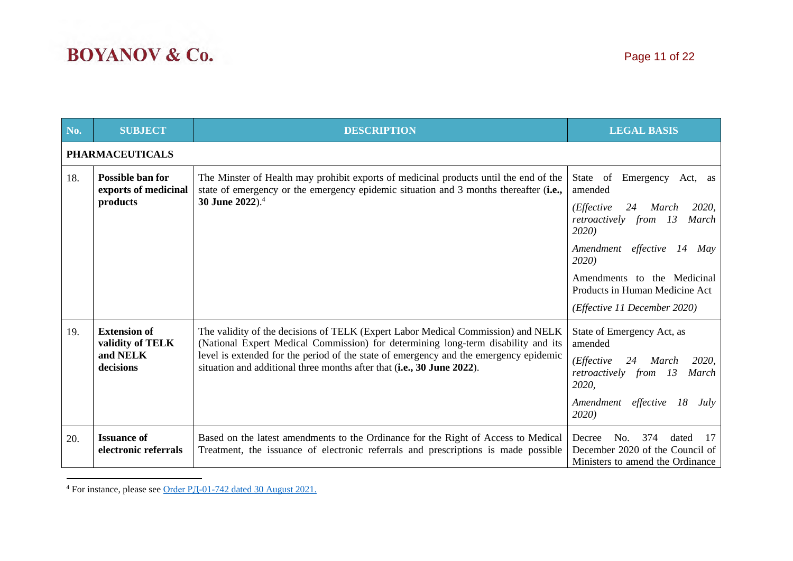| No. | <b>SUBJECT</b>                                                   | <b>DESCRIPTION</b>                                                                                                                                                                                                                                                                                                                       | <b>LEGAL BASIS</b>                                                                                                                                                                                                                                 |
|-----|------------------------------------------------------------------|------------------------------------------------------------------------------------------------------------------------------------------------------------------------------------------------------------------------------------------------------------------------------------------------------------------------------------------|----------------------------------------------------------------------------------------------------------------------------------------------------------------------------------------------------------------------------------------------------|
|     | <b>PHARMACEUTICALS</b>                                           |                                                                                                                                                                                                                                                                                                                                          |                                                                                                                                                                                                                                                    |
| 18. | <b>Possible ban for</b><br>exports of medicinal<br>products      | The Minster of Health may prohibit exports of medicinal products until the end of the<br>state of emergency or the emergency epidemic situation and 3 months thereafter (i.e.,<br>30 June 2022). <sup>4</sup>                                                                                                                            | State of Emergency<br>Act, as<br>amended<br>2020,<br>( <i>Effective</i><br>24<br>March<br>retroactively from<br>13<br>March<br>2020)<br>Amendment effective<br>14<br>May<br>2020)<br>Amendments to the Medicinal<br>Products in Human Medicine Act |
|     |                                                                  |                                                                                                                                                                                                                                                                                                                                          | (Effective 11 December 2020)                                                                                                                                                                                                                       |
| 19. | <b>Extension of</b><br>validity of TELK<br>and NELK<br>decisions | The validity of the decisions of TELK (Expert Labor Medical Commission) and NELK<br>(National Expert Medical Commission) for determining long-term disability and its<br>level is extended for the period of the state of emergency and the emergency epidemic<br>situation and additional three months after that (i.e., 30 June 2022). | State of Emergency Act, as<br>amended<br>( <i>Effective</i><br>24<br><b>March</b><br>2020,<br>retroactively from 13<br>March<br>2020,<br>Amendment effective<br>18<br>July<br>2020)                                                                |
| 20. | <b>Issuance of</b><br>electronic referrals                       | Based on the latest amendments to the Ordinance for the Right of Access to Medical<br>Treatment, the issuance of electronic referrals and prescriptions is made possible                                                                                                                                                                 | 374<br>Decree<br>No.<br>dated<br>17<br>December 2020 of the Council of<br>Ministers to amend the Ordinance                                                                                                                                         |

<sup>4</sup> For instance, please see Order [РД-01-742](https://www.mh.government.bg/media/filer_public/2021/08/30/zapoved_zabrana_iznos_lp_avg_2021.pdf) dated 30 August 2021.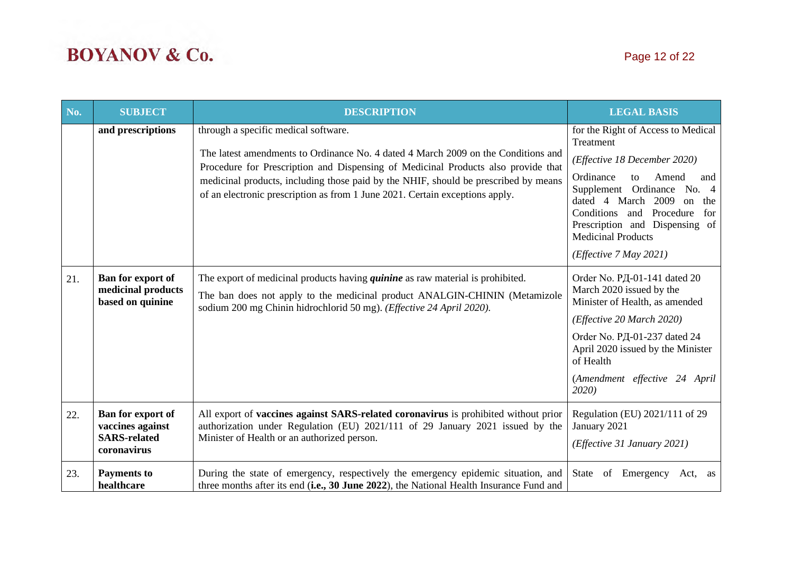| No. | <b>SUBJECT</b>                                                              | <b>DESCRIPTION</b>                                                                                                                                                                                                                                                                                                                                                                    | <b>LEGAL BASIS</b>                                                                                                                                                                                                                                                                                              |
|-----|-----------------------------------------------------------------------------|---------------------------------------------------------------------------------------------------------------------------------------------------------------------------------------------------------------------------------------------------------------------------------------------------------------------------------------------------------------------------------------|-----------------------------------------------------------------------------------------------------------------------------------------------------------------------------------------------------------------------------------------------------------------------------------------------------------------|
|     | and prescriptions                                                           | through a specific medical software.<br>The latest amendments to Ordinance No. 4 dated 4 March 2009 on the Conditions and<br>Procedure for Prescription and Dispensing of Medicinal Products also provide that<br>medicinal products, including those paid by the NHIF, should be prescribed by means<br>of an electronic prescription as from 1 June 2021. Certain exceptions apply. | for the Right of Access to Medical<br>Treatment<br>(Effective 18 December 2020)<br>Ordinance<br>Amend<br>to<br>and<br>Supplement Ordinance No. 4<br>dated 4 March 2009<br>on<br>the<br>Conditions and Procedure<br>for<br>Prescription and Dispensing of<br><b>Medicinal Products</b><br>(Effective 7 May 2021) |
| 21. | Ban for export of<br>medicinal products<br>based on quinine                 | The export of medicinal products having <i>quinine</i> as raw material is prohibited.<br>The ban does not apply to the medicinal product ANALGIN-CHININ (Metamizole<br>sodium 200 mg Chinin hidrochlorid 50 mg). (Effective 24 April 2020).                                                                                                                                           | Order No. PД-01-141 dated 20<br>March 2020 issued by the<br>Minister of Health, as amended<br>(Effective 20 March 2020)<br>Order No. PД-01-237 dated 24<br>April 2020 issued by the Minister<br>of Health<br>(Amendment effective 24 April<br>2020)                                                             |
| 22. | Ban for export of<br>vaccines against<br><b>SARS-related</b><br>coronavirus | All export of vaccines against SARS-related coronavirus is prohibited without prior<br>authorization under Regulation (EU) 2021/111 of 29 January 2021 issued by the<br>Minister of Health or an authorized person.                                                                                                                                                                   | Regulation (EU) 2021/111 of 29<br>January 2021<br>(Effective 31 January 2021)                                                                                                                                                                                                                                   |
| 23. | <b>Payments to</b><br>healthcare                                            | During the state of emergency, respectively the emergency epidemic situation, and<br>three months after its end (i.e., 30 June 2022), the National Health Insurance Fund and                                                                                                                                                                                                          | State<br>of Emergency<br>Act,<br>as                                                                                                                                                                                                                                                                             |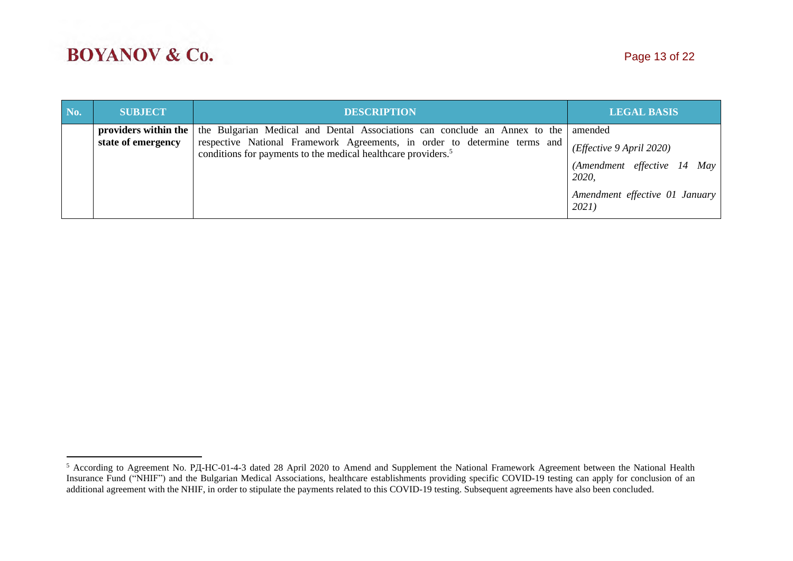| No. | <b>SUBJECT</b>       | <b>DESCRIPTION</b>                                                                                                                                     | <b>LEGAL BASIS</b>                      |
|-----|----------------------|--------------------------------------------------------------------------------------------------------------------------------------------------------|-----------------------------------------|
|     | providers within the | the Bulgarian Medical and Dental Associations can conclude an Annex to the amended                                                                     |                                         |
|     | state of emergency   | respective National Framework Agreements, in order to determine terms and<br>conditions for payments to the medical healthcare providers. <sup>5</sup> | (Effective 9 April 2020)                |
|     |                      |                                                                                                                                                        | (Amendment effective 14 May<br>2020,    |
|     |                      |                                                                                                                                                        | Amendment effective 01 January<br>2021) |

<sup>&</sup>lt;sup>5</sup> According to Agreement No. РД-НС-01-4-3 dated 28 April 2020 to Amend and Supplement the National Framework Agreement between the National Health Insurance Fund ("NHIF") and the Bulgarian Medical Associations, healthcare establishments providing specific COVID-19 testing can apply for conclusion of an additional agreement with the NHIF, in order to stipulate the payments related to this COVID-19 testing. Subsequent agreements have also been concluded.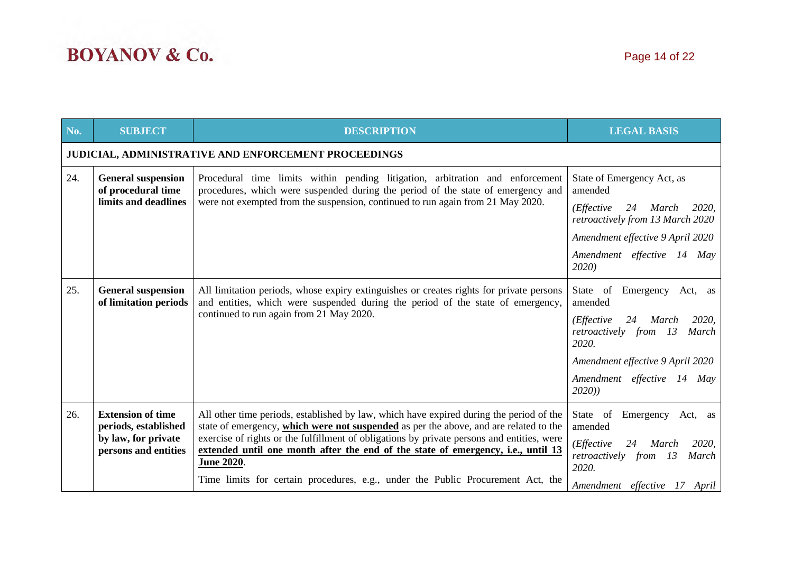| No. | <b>SUBJECT</b>                                                                                  | <b>DESCRIPTION</b>                                                                                                                                                                                                                                                                                                                                                                                                                                                         | <b>LEGAL BASIS</b>                                                                                                                                                                                          |  |  |  |
|-----|-------------------------------------------------------------------------------------------------|----------------------------------------------------------------------------------------------------------------------------------------------------------------------------------------------------------------------------------------------------------------------------------------------------------------------------------------------------------------------------------------------------------------------------------------------------------------------------|-------------------------------------------------------------------------------------------------------------------------------------------------------------------------------------------------------------|--|--|--|
|     | JUDICIAL, ADMINISTRATIVE AND ENFORCEMENT PROCEEDINGS                                            |                                                                                                                                                                                                                                                                                                                                                                                                                                                                            |                                                                                                                                                                                                             |  |  |  |
| 24. | <b>General suspension</b><br>of procedural time<br>limits and deadlines                         | Procedural time limits within pending litigation, arbitration and enforcement<br>procedures, which were suspended during the period of the state of emergency and<br>were not exempted from the suspension, continued to run again from 21 May 2020.                                                                                                                                                                                                                       | State of Emergency Act, as<br>amended<br>( <i>Effective</i><br>24<br>March<br>2020,<br>retroactively from 13 March 2020<br>Amendment effective 9 April 2020<br>Amendment effective 14 May<br>2020)          |  |  |  |
| 25. | <b>General suspension</b><br>of limitation periods                                              | All limitation periods, whose expiry extinguishes or creates rights for private persons<br>and entities, which were suspended during the period of the state of emergency,<br>continued to run again from 21 May 2020.                                                                                                                                                                                                                                                     | Emergency Act, as<br>State of<br>amended<br>$(E\text{ffective})$<br>24 March<br>2020,<br>retroactively from 13<br>March<br>2020.<br>Amendment effective 9 April 2020<br>Amendment effective 14 May<br>2020) |  |  |  |
| 26. | <b>Extension of time</b><br>periods, established<br>by law, for private<br>persons and entities | All other time periods, established by law, which have expired during the period of the<br>state of emergency, which were not suspended as per the above, and are related to the<br>exercise of rights or the fulfillment of obligations by private persons and entities, were<br>extended until one month after the end of the state of emergency, i.e., until 13<br><b>June 2020.</b><br>Time limits for certain procedures, e.g., under the Public Procurement Act, the | State of<br>Emergency Act, as<br>amended<br>(Effective<br>24<br>2020,<br>March<br>retroactively from 13<br>March<br>2020.<br>Amendment effective 17 April                                                   |  |  |  |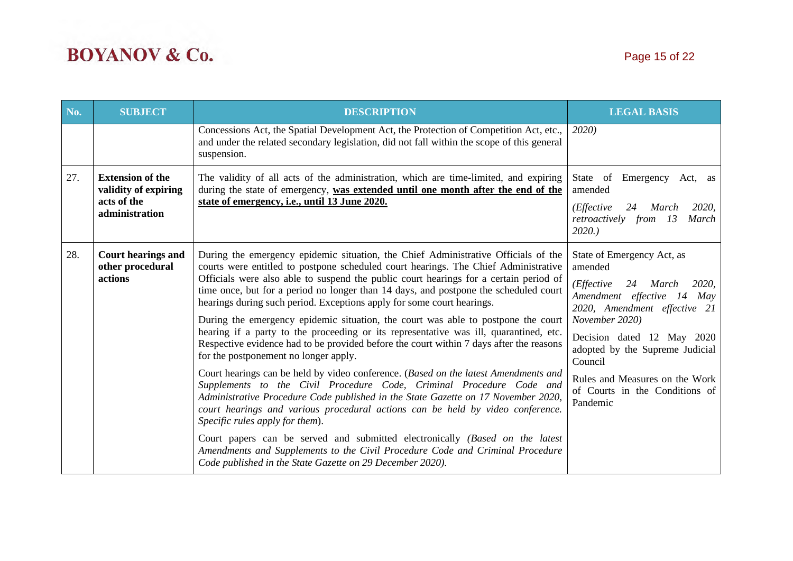| No. | <b>SUBJECT</b>                                                                   | <b>DESCRIPTION</b>                                                                                                                                                                                                                                                                                                                                                                                                                                                                                                                                                                                                                                                                                                                                                                                                                                                                                                                                                                                                                                                                                                                                                                                                                                                                                                                                            |                                                                                                                                                                                                                                                                                                                              |
|-----|----------------------------------------------------------------------------------|---------------------------------------------------------------------------------------------------------------------------------------------------------------------------------------------------------------------------------------------------------------------------------------------------------------------------------------------------------------------------------------------------------------------------------------------------------------------------------------------------------------------------------------------------------------------------------------------------------------------------------------------------------------------------------------------------------------------------------------------------------------------------------------------------------------------------------------------------------------------------------------------------------------------------------------------------------------------------------------------------------------------------------------------------------------------------------------------------------------------------------------------------------------------------------------------------------------------------------------------------------------------------------------------------------------------------------------------------------------|------------------------------------------------------------------------------------------------------------------------------------------------------------------------------------------------------------------------------------------------------------------------------------------------------------------------------|
|     |                                                                                  | Concessions Act, the Spatial Development Act, the Protection of Competition Act, etc.,<br>and under the related secondary legislation, did not fall within the scope of this general<br>suspension.                                                                                                                                                                                                                                                                                                                                                                                                                                                                                                                                                                                                                                                                                                                                                                                                                                                                                                                                                                                                                                                                                                                                                           | 2020)                                                                                                                                                                                                                                                                                                                        |
| 27. | <b>Extension of the</b><br>validity of expiring<br>acts of the<br>administration | The validity of all acts of the administration, which are time-limited, and expiring<br>during the state of emergency, was extended until one month after the end of the<br>state of emergency, i.e., until 13 June 2020.                                                                                                                                                                                                                                                                                                                                                                                                                                                                                                                                                                                                                                                                                                                                                                                                                                                                                                                                                                                                                                                                                                                                     | State of Emergency Act, as<br>amended<br>( <i>Effective</i><br>24<br>March<br><i>2020</i> .<br>retroactively from 13<br>March<br>2020.                                                                                                                                                                                       |
| 28. | <b>Court hearings and</b><br>other procedural<br>actions                         | During the emergency epidemic situation, the Chief Administrative Officials of the<br>courts were entitled to postpone scheduled court hearings. The Chief Administrative<br>Officials were also able to suspend the public court hearings for a certain period of<br>time once, but for a period no longer than 14 days, and postpone the scheduled court<br>hearings during such period. Exceptions apply for some court hearings.<br>During the emergency epidemic situation, the court was able to postpone the court<br>hearing if a party to the proceeding or its representative was ill, quarantined, etc.<br>Respective evidence had to be provided before the court within 7 days after the reasons<br>for the postponement no longer apply.<br>Court hearings can be held by video conference. (Based on the latest Amendments and<br>Supplements to the Civil Procedure Code, Criminal Procedure Code and<br>Administrative Procedure Code published in the State Gazette on 17 November 2020,<br>court hearings and various procedural actions can be held by video conference.<br>Specific rules apply for them).<br>Court papers can be served and submitted electronically (Based on the latest<br>Amendments and Supplements to the Civil Procedure Code and Criminal Procedure<br>Code published in the State Gazette on 29 December 2020). | State of Emergency Act, as<br>amended<br>(Effective<br>24 March<br><i>2020</i> .<br>Amendment effective 14 May<br>2020, Amendment effective 21<br>November 2020)<br>Decision dated 12 May 2020<br>adopted by the Supreme Judicial<br>Council<br>Rules and Measures on the Work<br>of Courts in the Conditions of<br>Pandemic |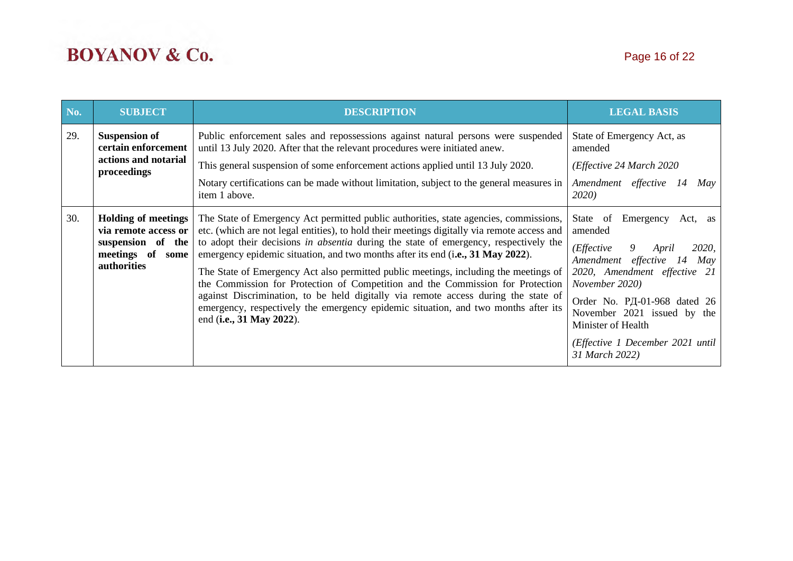| No. | <b>SUBJECT</b>                                                                                             | <b>DESCRIPTION</b>                                                                                                                                                                                                                                                                                                                                                                                                                                                                                                                                                                                                                                                                                                                                | <b>LEGAL BASIS</b>                                                                                                                                                                                                                                                                                                                       |  |
|-----|------------------------------------------------------------------------------------------------------------|---------------------------------------------------------------------------------------------------------------------------------------------------------------------------------------------------------------------------------------------------------------------------------------------------------------------------------------------------------------------------------------------------------------------------------------------------------------------------------------------------------------------------------------------------------------------------------------------------------------------------------------------------------------------------------------------------------------------------------------------------|------------------------------------------------------------------------------------------------------------------------------------------------------------------------------------------------------------------------------------------------------------------------------------------------------------------------------------------|--|
| 29. | <b>Suspension of</b><br>certain enforcement<br>actions and notarial<br>proceedings                         | Public enforcement sales and repossessions against natural persons were suspended<br>until 13 July 2020. After that the relevant procedures were initiated anew.<br>This general suspension of some enforcement actions applied until 13 July 2020.<br>Notary certifications can be made without limitation, subject to the general measures in<br>item 1 above.                                                                                                                                                                                                                                                                                                                                                                                  | State of Emergency Act, as<br>amended<br>(Effective 24 March 2020)<br>Amendment effective 14<br>May<br><b>2020</b> )                                                                                                                                                                                                                     |  |
| 30. | <b>Holding of meetings</b><br>via remote access or<br>suspension of the<br>meetings of some<br>authorities | The State of Emergency Act permitted public authorities, state agencies, commissions,<br>etc. (which are not legal entities), to hold their meetings digitally via remote access and<br>to adopt their decisions in absentia during the state of emergency, respectively the<br>emergency epidemic situation, and two months after its end (i.e., 31 May 2022).<br>The State of Emergency Act also permitted public meetings, including the meetings of<br>the Commission for Protection of Competition and the Commission for Protection<br>against Discrimination, to be held digitally via remote access during the state of<br>emergency, respectively the emergency epidemic situation, and two months after its<br>end (i.e., 31 May 2022). | State of Emergency<br>Act, as<br>amended<br>( <i>Effective</i><br>$\overline{9}$<br><i>2020</i> ,<br>April<br>Amendment effective 14<br>May<br>2020, Amendment effective 21<br>November 2020)<br>Order No. PД-01-968 dated 26<br>November 2021 issued by the<br>Minister of Health<br>(Effective 1 December 2021 until<br>31 March 2022) |  |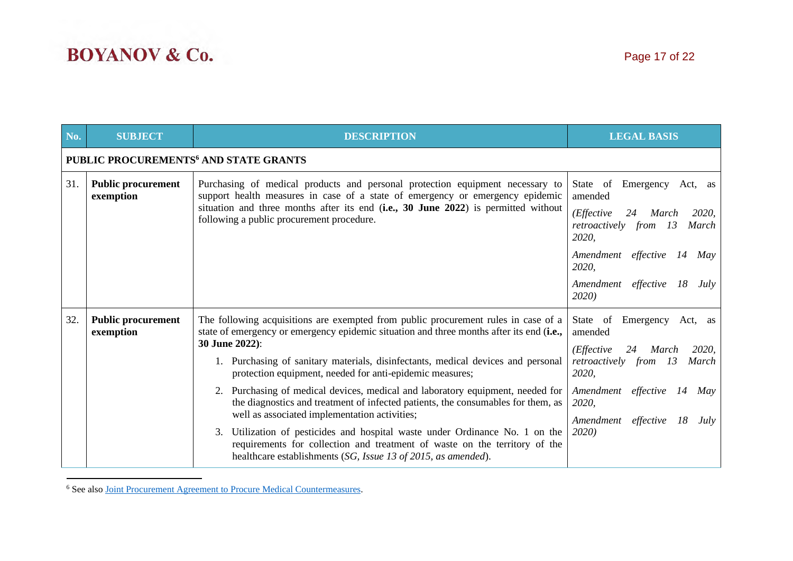| No. | <b>SUBJECT</b>                                    | <b>DESCRIPTION</b>                                                                                                                                                                                                                                                                                                                                                                                                                                                                                                                                                                                                                                                                                                                                                                                        | <b>LEGAL BASIS</b>                                                                                                                                                                                                          |  |  |  |
|-----|---------------------------------------------------|-----------------------------------------------------------------------------------------------------------------------------------------------------------------------------------------------------------------------------------------------------------------------------------------------------------------------------------------------------------------------------------------------------------------------------------------------------------------------------------------------------------------------------------------------------------------------------------------------------------------------------------------------------------------------------------------------------------------------------------------------------------------------------------------------------------|-----------------------------------------------------------------------------------------------------------------------------------------------------------------------------------------------------------------------------|--|--|--|
|     | PUBLIC PROCUREMENTS <sup>6</sup> AND STATE GRANTS |                                                                                                                                                                                                                                                                                                                                                                                                                                                                                                                                                                                                                                                                                                                                                                                                           |                                                                                                                                                                                                                             |  |  |  |
| 31. | <b>Public procurement</b><br>exemption            | Purchasing of medical products and personal protection equipment necessary to<br>support health measures in case of a state of emergency or emergency epidemic<br>situation and three months after its end (i.e., 30 June 2022) is permitted without<br>following a public procurement procedure.                                                                                                                                                                                                                                                                                                                                                                                                                                                                                                         | State of Emergency Act, as<br>amended<br>(Effective<br>2020,<br>24<br>March<br>retroactively from<br><i>13</i><br>March<br>2020,<br>Amendment effective<br>14<br>May<br>2020,<br>Amendment effective<br>18<br>July<br>2020) |  |  |  |
| 32. | <b>Public procurement</b><br>exemption            | The following acquisitions are exempted from public procurement rules in case of a<br>state of emergency or emergency epidemic situation and three months after its end (i.e.,<br>30 June 2022):<br>1. Purchasing of sanitary materials, disinfectants, medical devices and personal<br>protection equipment, needed for anti-epidemic measures;<br>2. Purchasing of medical devices, medical and laboratory equipment, needed for<br>the diagnostics and treatment of infected patients, the consumables for them, as<br>well as associated implementation activities;<br>Utilization of pesticides and hospital waste under Ordinance No. 1 on the<br>3.<br>requirements for collection and treatment of waste on the territory of the<br>healthcare establishments (SG, Issue 13 of 2015, as amended). | State of Emergency<br>Act, as<br>amended<br>2020,<br>(Effective)<br>24<br>March<br>retroactively from 13<br>March<br>2020,<br>Amendment effective<br>14<br>May<br>2020,<br>Amendment<br>effective<br>18<br>July<br>2020)    |  |  |  |

<sup>6</sup> See also Joint Procurement Agreement to Procure Medical [Countermeasures.](https://ec.europa.eu/health/sites/health/files/preparedness_response/docs/jpa_agreement_medicalcountermeasures_en.pdf)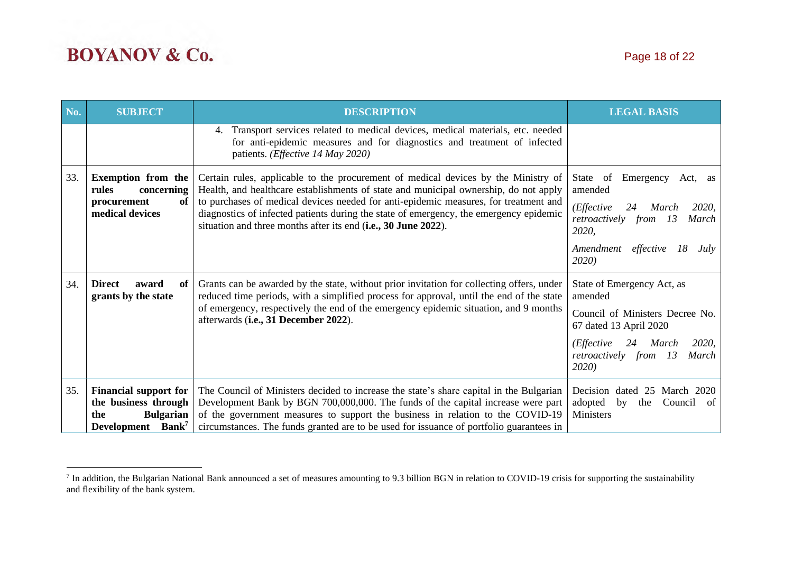| No. | <b>SUBJECT</b>                                                                                                                                                                                                                                                                                                                                                                                                                                                               | <b>DESCRIPTION</b>                                                                                                                                                                                                                               | <b>LEGAL BASIS</b>                                                                    |
|-----|------------------------------------------------------------------------------------------------------------------------------------------------------------------------------------------------------------------------------------------------------------------------------------------------------------------------------------------------------------------------------------------------------------------------------------------------------------------------------|--------------------------------------------------------------------------------------------------------------------------------------------------------------------------------------------------------------------------------------------------|---------------------------------------------------------------------------------------|
|     |                                                                                                                                                                                                                                                                                                                                                                                                                                                                              | 4. Transport services related to medical devices, medical materials, etc. needed<br>for anti-epidemic measures and for diagnostics and treatment of infected<br>patients. (Effective 14 May 2020)                                                |                                                                                       |
| 33. | <b>Exemption from the</b><br>rules<br>concerning                                                                                                                                                                                                                                                                                                                                                                                                                             | Certain rules, applicable to the procurement of medical devices by the Ministry of<br>State of<br>Health, and healthcare establishments of state and municipal ownership, do not apply<br>amended                                                |                                                                                       |
|     | of<br>procurement<br>medical devices                                                                                                                                                                                                                                                                                                                                                                                                                                         | to purchases of medical devices needed for anti-epidemic measures, for treatment and<br>diagnostics of infected patients during the state of emergency, the emergency epidemic<br>situation and three months after its end (i.e., 30 June 2022). | (Effective<br>2020,<br>24<br>March<br>retroactively from 13<br>March<br>2020,         |
|     |                                                                                                                                                                                                                                                                                                                                                                                                                                                                              |                                                                                                                                                                                                                                                  | Amendment effective<br>18<br>July<br><b>2020</b> )                                    |
| 34. | <b>Direct</b><br>award<br>of<br>grants by the state                                                                                                                                                                                                                                                                                                                                                                                                                          | Grants can be awarded by the state, without prior invitation for collecting offers, under<br>reduced time periods, with a simplified process for approval, until the end of the state                                                            |                                                                                       |
|     |                                                                                                                                                                                                                                                                                                                                                                                                                                                                              | of emergency, respectively the end of the emergency epidemic situation, and 9 months<br>afterwards (i.e., 31 December 2022).                                                                                                                     | Council of Ministers Decree No.<br>67 dated 13 April 2020                             |
|     |                                                                                                                                                                                                                                                                                                                                                                                                                                                                              |                                                                                                                                                                                                                                                  | 2020,<br>( <i>Effective</i><br>March<br>24<br>retroactively from 13<br>March<br>2020) |
| 35. | <b>Financial support for</b><br>The Council of Ministers decided to increase the state's share capital in the Bulgarian<br>the business through<br>Development Bank by BGN 700,000,000. The funds of the capital increase were part<br>of the government measures to support the business in relation to the COVID-19<br><b>Bulgarian</b><br>the<br>circumstances. The funds granted are to be used for issuance of portfolio guarantees in<br>Development Bank <sup>7</sup> |                                                                                                                                                                                                                                                  | Decision dated 25 March 2020<br>adopted<br>by<br>Council of<br>the<br>Ministers       |

<sup>&</sup>lt;sup>7</sup> In addition, the Bulgarian National Bank announced a set of measures amounting to 9.3 billion BGN in relation to COVID-19 crisis for supporting the sustainability and flexibility of the bank system.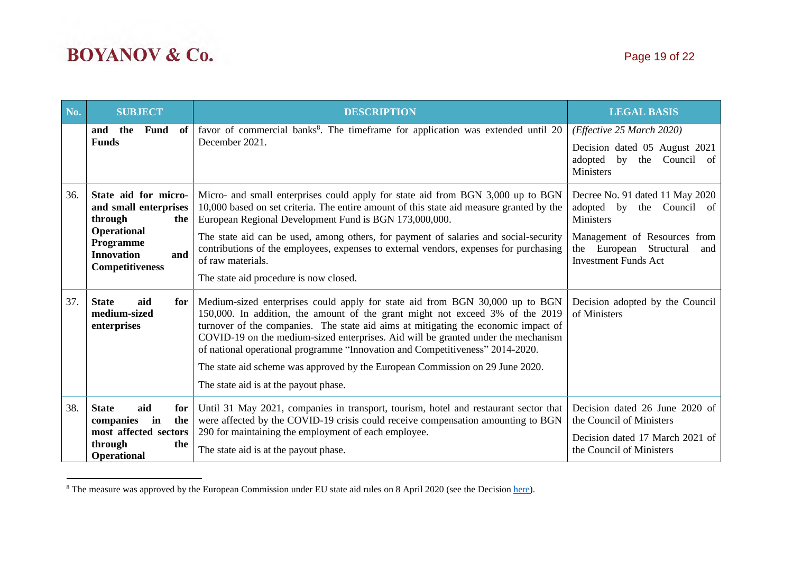| No. | <b>SUBJECT</b>                                                                                                                                    | <b>DESCRIPTION</b>                                                                                                                                                                                                                                                                                                                                                                                                                                                                                                                                  | <b>LEGAL BASIS</b>                                                                                                                                                                   |
|-----|---------------------------------------------------------------------------------------------------------------------------------------------------|-----------------------------------------------------------------------------------------------------------------------------------------------------------------------------------------------------------------------------------------------------------------------------------------------------------------------------------------------------------------------------------------------------------------------------------------------------------------------------------------------------------------------------------------------------|--------------------------------------------------------------------------------------------------------------------------------------------------------------------------------------|
|     | <b>Fund</b><br>the<br>of<br>and<br><b>Funds</b>                                                                                                   | favor of commercial banks <sup>8</sup> . The timeframe for application was extended until 20<br>December 2021.                                                                                                                                                                                                                                                                                                                                                                                                                                      | (Effective 25 March 2020)<br>Decision dated 05 August 2021<br>adopted<br>by<br>the<br>Council of<br><b>Ministers</b>                                                                 |
| 36. | State aid for micro-<br>and small enterprises<br>through<br>the<br>Operational<br>Programme<br><b>Innovation</b><br>and<br><b>Competitiveness</b> | Micro- and small enterprises could apply for state aid from BGN 3,000 up to BGN<br>10,000 based on set criteria. The entire amount of this state aid measure granted by the<br>European Regional Development Fund is BGN 173,000,000.<br>The state aid can be used, among others, for payment of salaries and social-security<br>contributions of the employees, expenses to external vendors, expenses for purchasing<br>of raw materials.<br>The state aid procedure is now closed.                                                               | Decree No. 91 dated 11 May 2020<br>adopted by<br>the Council of<br><b>Ministers</b><br>Management of Resources from<br>the European Structural<br>and<br><b>Investment Funds Act</b> |
| 37. | <b>State</b><br>aid<br>for<br>medium-sized<br>enterprises                                                                                         | Medium-sized enterprises could apply for state aid from BGN 30,000 up to BGN<br>150,000. In addition, the amount of the grant might not exceed 3% of the 2019<br>turnover of the companies. The state aid aims at mitigating the economic impact of<br>COVID-19 on the medium-sized enterprises. Aid will be granted under the mechanism<br>of national operational programme "Innovation and Competitiveness" 2014-2020.<br>The state aid scheme was approved by the European Commission on 29 June 2020.<br>The state aid is at the payout phase. | Decision adopted by the Council<br>of Ministers                                                                                                                                      |
| 38. | <b>State</b><br>aid<br>for<br>the<br>companies<br>in<br>most affected sectors<br>through<br>the<br><b>Operational</b>                             | Until 31 May 2021, companies in transport, tourism, hotel and restaurant sector that<br>were affected by the COVID-19 crisis could receive compensation amounting to BGN<br>290 for maintaining the employment of each employee.<br>The state aid is at the payout phase.                                                                                                                                                                                                                                                                           | Decision dated 26 June 2020 of<br>the Council of Ministers<br>Decision dated 17 March 2021 of<br>the Council of Ministers                                                            |

<sup>&</sup>lt;sup>8</sup> The measure was approved by the European Commission under EU state aid rules on 8 April 2020 (see the Decision [here\)](https://ec.europa.eu/competition/elojade/isef/case_details.cfm?proc_code=3_SA_56933).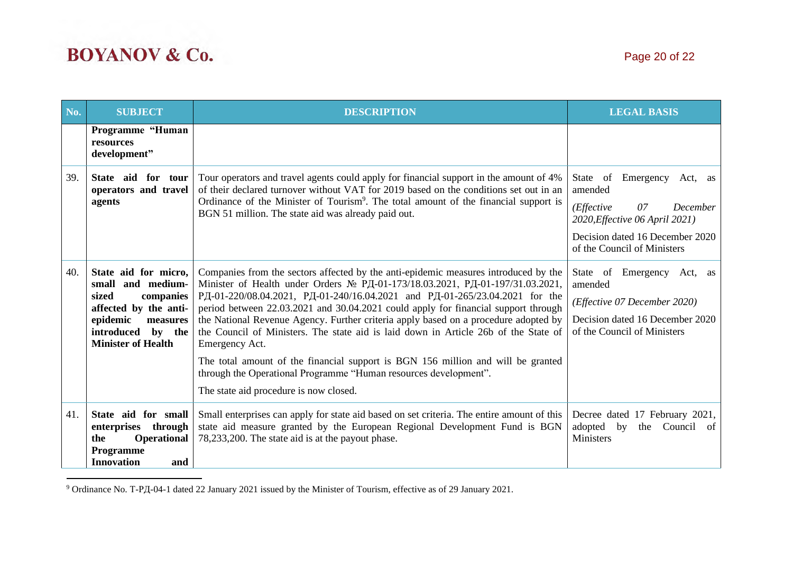| No.                                                                                                                                                                                    | <b>SUBJECT</b>                                                                                                                                                     | <b>DESCRIPTION</b>                                                                                                                                                                                                                                                                                                                                                                                                                                                                                                                                                                                                                                                                                                                          |                                                                                                                                         |
|----------------------------------------------------------------------------------------------------------------------------------------------------------------------------------------|--------------------------------------------------------------------------------------------------------------------------------------------------------------------|---------------------------------------------------------------------------------------------------------------------------------------------------------------------------------------------------------------------------------------------------------------------------------------------------------------------------------------------------------------------------------------------------------------------------------------------------------------------------------------------------------------------------------------------------------------------------------------------------------------------------------------------------------------------------------------------------------------------------------------------|-----------------------------------------------------------------------------------------------------------------------------------------|
|                                                                                                                                                                                        | Programme "Human<br>resources<br>development"                                                                                                                      |                                                                                                                                                                                                                                                                                                                                                                                                                                                                                                                                                                                                                                                                                                                                             |                                                                                                                                         |
| 39.                                                                                                                                                                                    | State aid for tour<br>operators and travel<br>agents                                                                                                               | Tour operators and travel agents could apply for financial support in the amount of 4%<br>of their declared turnover without VAT for 2019 based on the conditions set out in an<br>Ordinance of the Minister of Tourism <sup>9</sup> . The total amount of the financial support is<br>BGN 51 million. The state aid was already paid out.                                                                                                                                                                                                                                                                                                                                                                                                  |                                                                                                                                         |
| 40.                                                                                                                                                                                    | State aid for micro,<br>small and medium-<br>sized<br>companies<br>affected by the anti-<br>epidemic<br>measures<br>introduced by the<br><b>Minister of Health</b> | Companies from the sectors affected by the anti-epidemic measures introduced by the<br>Minister of Health under Orders № РД-01-173/18.03.2021, РД-01-197/31.03.2021,<br>РД-01-220/08.04.2021, РД-01-240/16.04.2021 and РД-01-265/23.04.2021 for the<br>period between 22.03.2021 and 30.04.2021 could apply for financial support through<br>the National Revenue Agency. Further criteria apply based on a procedure adopted by<br>the Council of Ministers. The state aid is laid down in Article 26b of the State of<br>Emergency Act.<br>The total amount of the financial support is BGN 156 million and will be granted<br>through the Operational Programme "Human resources development".<br>The state aid procedure is now closed. | State of Emergency Act, as<br>amended<br>(Effective 07 December 2020)<br>Decision dated 16 December 2020<br>of the Council of Ministers |
| 41.<br>State aid for small<br>through<br>enterprises<br><b>Operational</b><br>78,233,200. The state aid is at the payout phase.<br>the<br><b>Programme</b><br><b>Innovation</b><br>and |                                                                                                                                                                    | Small enterprises can apply for state aid based on set criteria. The entire amount of this<br>state aid measure granted by the European Regional Development Fund is BGN                                                                                                                                                                                                                                                                                                                                                                                                                                                                                                                                                                    | Decree dated 17 February 2021,<br>adopted by<br>the<br>Council of<br><b>Ministers</b>                                                   |

<sup>9</sup> Ordinance No. Т-РД-04-1 dated 22 January 2021 issued by the Minister of Tourism, effective as of 29 January 2021.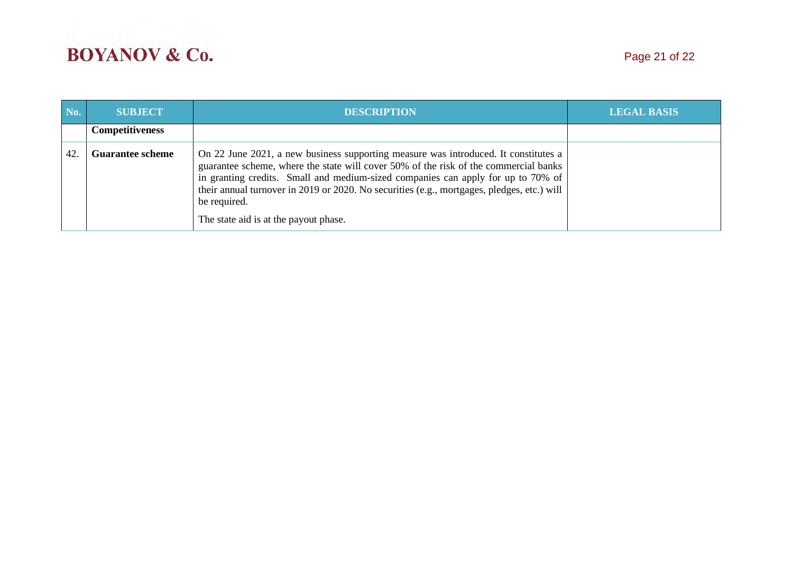| No. | <b>SUBJECT</b>                                                                                                                                                                                                                                                                                                                                                                                                                                    | <b>DESCRIPTION</b> | <b>LEGAL BASIS</b> |
|-----|---------------------------------------------------------------------------------------------------------------------------------------------------------------------------------------------------------------------------------------------------------------------------------------------------------------------------------------------------------------------------------------------------------------------------------------------------|--------------------|--------------------|
|     | <b>Competitiveness</b>                                                                                                                                                                                                                                                                                                                                                                                                                            |                    |                    |
| 42  | On 22 June 2021, a new business supporting measure was introduced. It constitutes a<br><b>Guarantee scheme</b><br>guarantee scheme, where the state will cover 50% of the risk of the commercial banks<br>in granting credits. Small and medium-sized companies can apply for up to 70% of<br>their annual turnover in 2019 or 2020. No securities (e.g., mortgages, pledges, etc.) will<br>be required.<br>The state aid is at the payout phase. |                    |                    |